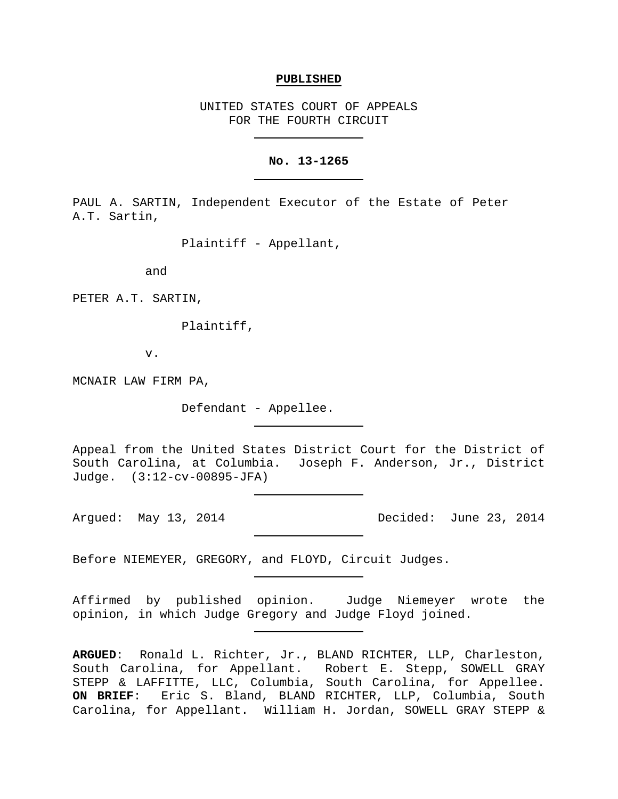#### **PUBLISHED**

UNITED STATES COURT OF APPEALS FOR THE FOURTH CIRCUIT

### **No. 13-1265**

PAUL A. SARTIN, Independent Executor of the Estate of Peter A.T. Sartin,

Plaintiff - Appellant,

and

PETER A.T. SARTIN,

Plaintiff,

v.

MCNAIR LAW FIRM PA,

Defendant - Appellee.

Appeal from the United States District Court for the District of South Carolina, at Columbia. Joseph F. Anderson, Jr., District Judge. (3:12-cv-00895-JFA)

Argued: May 13, 2014 Decided: June 23, 2014

Before NIEMEYER, GREGORY, and FLOYD, Circuit Judges.

Affirmed by published opinion. Judge Niemeyer wrote the opinion, in which Judge Gregory and Judge Floyd joined.

**ARGUED**: Ronald L. Richter, Jr., BLAND RICHTER, LLP, Charleston, South Carolina, for Appellant. Robert E. Stepp, SOWELL GRAY STEPP & LAFFITTE, LLC, Columbia, South Carolina, for Appellee. **ON BRIEF**: Eric S. Bland, BLAND RICHTER, LLP, Columbia, South Carolina, for Appellant. William H. Jordan, SOWELL GRAY STEPP &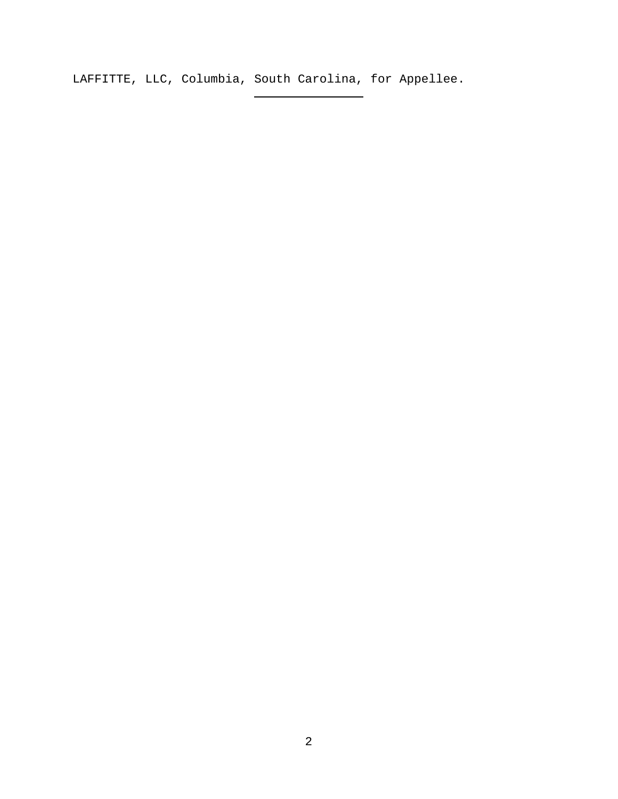LAFFITTE, LLC, Columbia, South Carolina, for Appellee.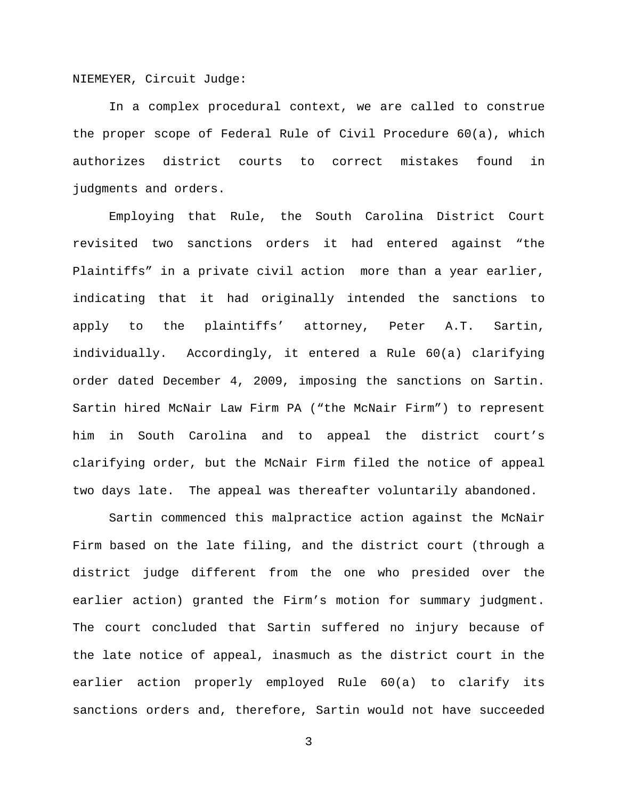NIEMEYER, Circuit Judge:

In a complex procedural context, we are called to construe the proper scope of Federal Rule of Civil Procedure 60(a), which authorizes district courts to correct mistakes found in judgments and orders.

Employing that Rule, the South Carolina District Court revisited two sanctions orders it had entered against "the Plaintiffs" in a private civil action more than a year earlier, indicating that it had originally intended the sanctions to apply to the plaintiffs' attorney, Peter A.T. Sartin, individually. Accordingly, it entered a Rule 60(a) clarifying order dated December 4, 2009, imposing the sanctions on Sartin. Sartin hired McNair Law Firm PA ("the McNair Firm") to represent him in South Carolina and to appeal the district court's clarifying order, but the McNair Firm filed the notice of appeal two days late. The appeal was thereafter voluntarily abandoned.

Sartin commenced this malpractice action against the McNair Firm based on the late filing, and the district court (through a district judge different from the one who presided over the earlier action) granted the Firm's motion for summary judgment. The court concluded that Sartin suffered no injury because of the late notice of appeal, inasmuch as the district court in the earlier action properly employed Rule 60(a) to clarify its sanctions orders and, therefore, Sartin would not have succeeded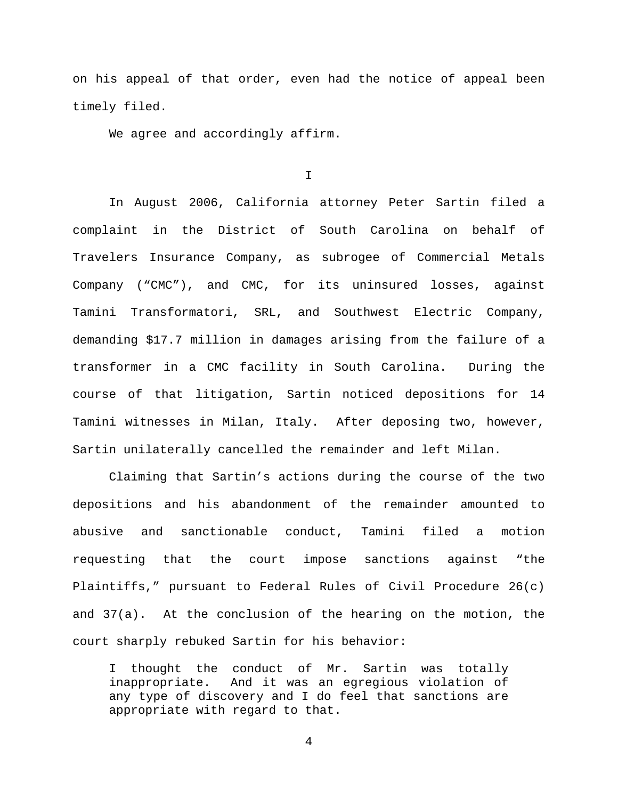on his appeal of that order, even had the notice of appeal been timely filed.

We agree and accordingly affirm.

I

In August 2006, California attorney Peter Sartin filed a complaint in the District of South Carolina on behalf of Travelers Insurance Company, as subrogee of Commercial Metals Company ("CMC"), and CMC, for its uninsured losses, against Tamini Transformatori, SRL, and Southwest Electric Company, demanding \$17.7 million in damages arising from the failure of a transformer in a CMC facility in South Carolina. During the course of that litigation, Sartin noticed depositions for 14 Tamini witnesses in Milan, Italy. After deposing two, however, Sartin unilaterally cancelled the remainder and left Milan.

Claiming that Sartin's actions during the course of the two depositions and his abandonment of the remainder amounted to abusive and sanctionable conduct, Tamini filed a motion requesting that the court impose sanctions against "the Plaintiffs," pursuant to Federal Rules of Civil Procedure 26(c) and 37(a). At the conclusion of the hearing on the motion, the court sharply rebuked Sartin for his behavior:

I thought the conduct of Mr. Sartin was totally inappropriate. And it was an egregious violation of any type of discovery and I do feel that sanctions are appropriate with regard to that.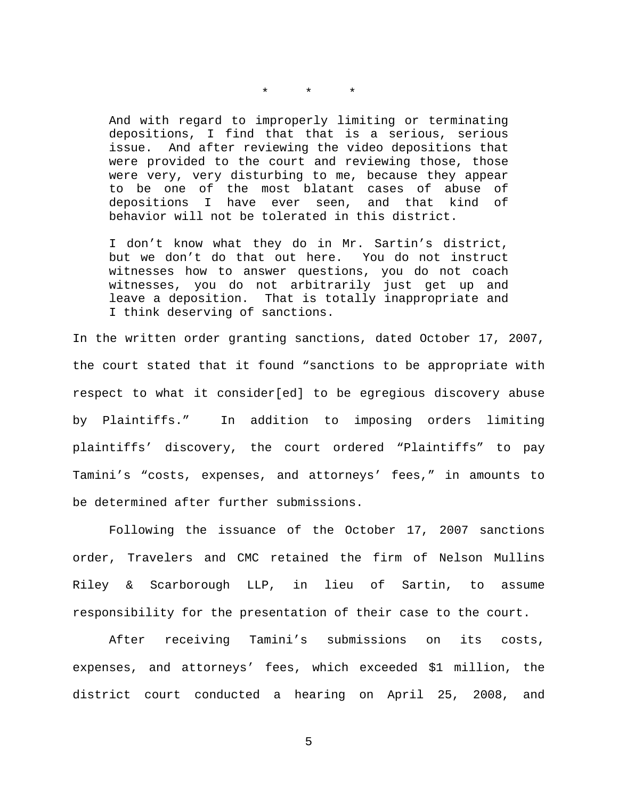\* \* \*

And with regard to improperly limiting or terminating depositions, I find that that is a serious, serious issue. And after reviewing the video depositions that were provided to the court and reviewing those, those were very, very disturbing to me, because they appear to be one of the most blatant cases of abuse of<br>depositions I have ever seen, and that kind of depositions I have ever seen, and that kind of behavior will not be tolerated in this district.

I don't know what they do in Mr. Sartin's district, but we don't do that out here. You do not instruct witnesses how to answer questions, you do not coach witnesses, you do not arbitrarily just get up and leave a deposition. That is totally inappropriate and I think deserving of sanctions.

In the written order granting sanctions, dated October 17, 2007, the court stated that it found "sanctions to be appropriate with respect to what it consider[ed] to be egregious discovery abuse by Plaintiffs." In addition to imposing orders limiting plaintiffs' discovery, the court ordered "Plaintiffs" to pay Tamini's "costs, expenses, and attorneys' fees," in amounts to be determined after further submissions.

Following the issuance of the October 17, 2007 sanctions order, Travelers and CMC retained the firm of Nelson Mullins Riley & Scarborough LLP, in lieu of Sartin, to assume responsibility for the presentation of their case to the court.

After receiving Tamini's submissions on its costs, expenses, and attorneys' fees, which exceeded \$1 million, the district court conducted a hearing on April 25, 2008, and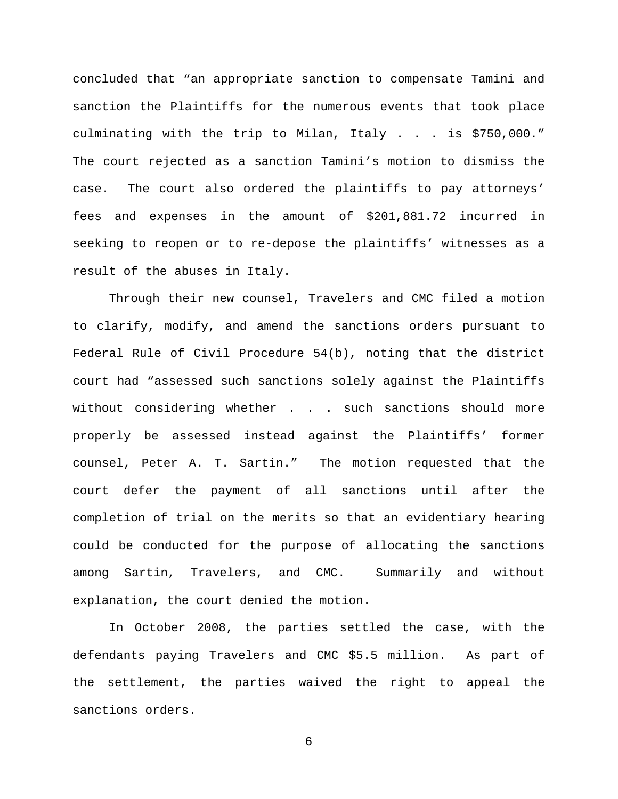concluded that "an appropriate sanction to compensate Tamini and sanction the Plaintiffs for the numerous events that took place culminating with the trip to Milan, Italy . . . is \$750,000." The court rejected as a sanction Tamini's motion to dismiss the case. The court also ordered the plaintiffs to pay attorneys' fees and expenses in the amount of \$201,881.72 incurred in seeking to reopen or to re-depose the plaintiffs' witnesses as a result of the abuses in Italy.

Through their new counsel, Travelers and CMC filed a motion to clarify, modify, and amend the sanctions orders pursuant to Federal Rule of Civil Procedure 54(b), noting that the district court had "assessed such sanctions solely against the Plaintiffs without considering whether . . . such sanctions should more properly be assessed instead against the Plaintiffs' former counsel, Peter A. T. Sartin." The motion requested that the court defer the payment of all sanctions until after the completion of trial on the merits so that an evidentiary hearing could be conducted for the purpose of allocating the sanctions among Sartin, Travelers, and CMC. Summarily and without explanation, the court denied the motion.

In October 2008, the parties settled the case, with the defendants paying Travelers and CMC \$5.5 million. As part of the settlement, the parties waived the right to appeal the sanctions orders.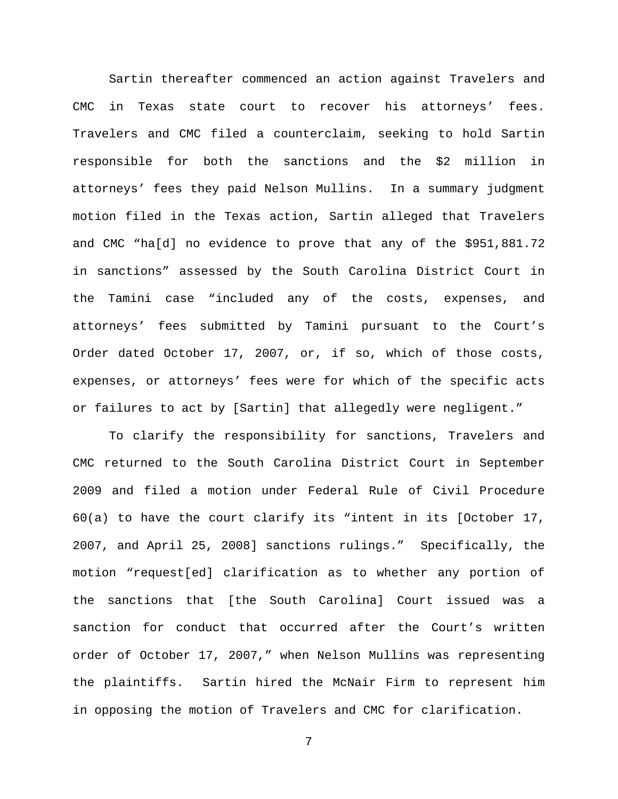Sartin thereafter commenced an action against Travelers and CMC in Texas state court to recover his attorneys' fees. Travelers and CMC filed a counterclaim, seeking to hold Sartin responsible for both the sanctions and the \$2 million in attorneys' fees they paid Nelson Mullins. In a summary judgment motion filed in the Texas action, Sartin alleged that Travelers and CMC "ha[d] no evidence to prove that any of the \$951,881.72 in sanctions" assessed by the South Carolina District Court in the Tamini case "included any of the costs, expenses, and attorneys' fees submitted by Tamini pursuant to the Court's Order dated October 17, 2007, or, if so, which of those costs, expenses, or attorneys' fees were for which of the specific acts or failures to act by [Sartin] that allegedly were negligent."

To clarify the responsibility for sanctions, Travelers and CMC returned to the South Carolina District Court in September 2009 and filed a motion under Federal Rule of Civil Procedure 60(a) to have the court clarify its "intent in its [October 17, 2007, and April 25, 2008] sanctions rulings." Specifically, the motion "request[ed] clarification as to whether any portion of the sanctions that [the South Carolina] Court issued was a sanction for conduct that occurred after the Court's written order of October 17, 2007," when Nelson Mullins was representing the plaintiffs. Sartin hired the McNair Firm to represent him in opposing the motion of Travelers and CMC for clarification.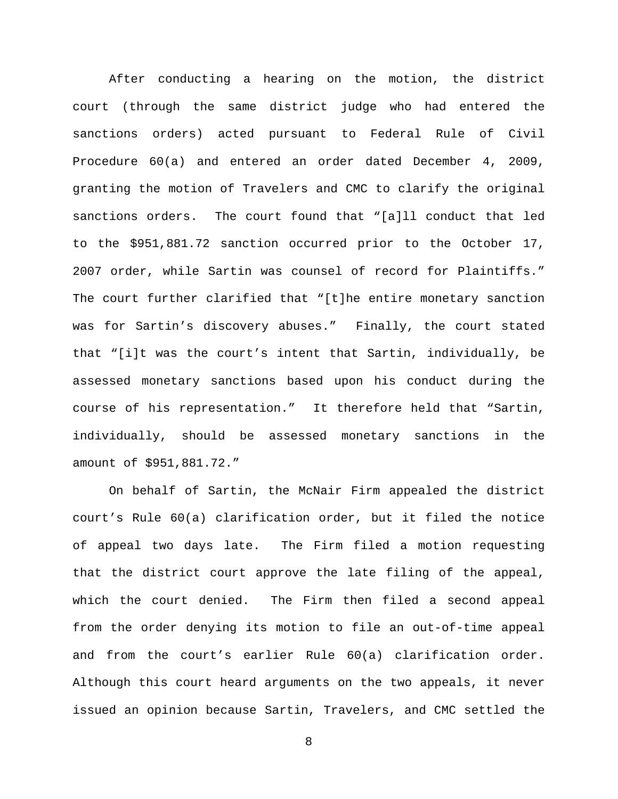After conducting a hearing on the motion, the district court (through the same district judge who had entered the sanctions orders) acted pursuant to Federal Rule of Civil Procedure 60(a) and entered an order dated December 4, 2009, granting the motion of Travelers and CMC to clarify the original sanctions orders. The court found that "[a]ll conduct that led to the \$951,881.72 sanction occurred prior to the October 17, 2007 order, while Sartin was counsel of record for Plaintiffs." The court further clarified that "[t]he entire monetary sanction was for Sartin's discovery abuses." Finally, the court stated that "[i]t was the court's intent that Sartin, individually, be assessed monetary sanctions based upon his conduct during the course of his representation." It therefore held that "Sartin, individually, should be assessed monetary sanctions in the amount of \$951,881.72."

On behalf of Sartin, the McNair Firm appealed the district court's Rule 60(a) clarification order, but it filed the notice of appeal two days late. The Firm filed a motion requesting that the district court approve the late filing of the appeal, which the court denied. The Firm then filed a second appeal from the order denying its motion to file an out-of-time appeal and from the court's earlier Rule 60(a) clarification order. Although this court heard arguments on the two appeals, it never issued an opinion because Sartin, Travelers, and CMC settled the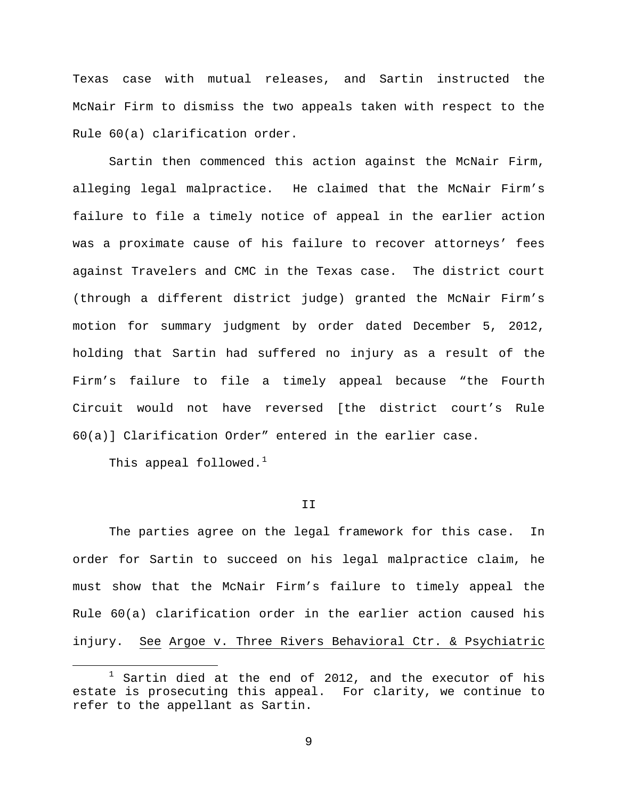Texas case with mutual releases, and Sartin instructed the McNair Firm to dismiss the two appeals taken with respect to the Rule 60(a) clarification order.

Sartin then commenced this action against the McNair Firm, alleging legal malpractice. He claimed that the McNair Firm's failure to file a timely notice of appeal in the earlier action was a proximate cause of his failure to recover attorneys' fees against Travelers and CMC in the Texas case. The district court (through a different district judge) granted the McNair Firm's motion for summary judgment by order dated December 5, 2012, holding that Sartin had suffered no injury as a result of the Firm's failure to file a timely appeal because "the Fourth Circuit would not have reversed [the district court's Rule 60(a)] Clarification Order" entered in the earlier case.

This appeal followed. $<sup>1</sup>$  $<sup>1</sup>$  $<sup>1</sup>$ </sup>

# II

The parties agree on the legal framework for this case. In order for Sartin to succeed on his legal malpractice claim, he must show that the McNair Firm's failure to timely appeal the Rule 60(a) clarification order in the earlier action caused his injury. See Argoe v. Three Rivers Behavioral Ctr. & Psychiatric

<span id="page-8-0"></span> $1$  Sartin died at the end of 2012, and the executor of his estate is prosecuting this appeal. For clarity, we continue to refer to the appellant as Sartin.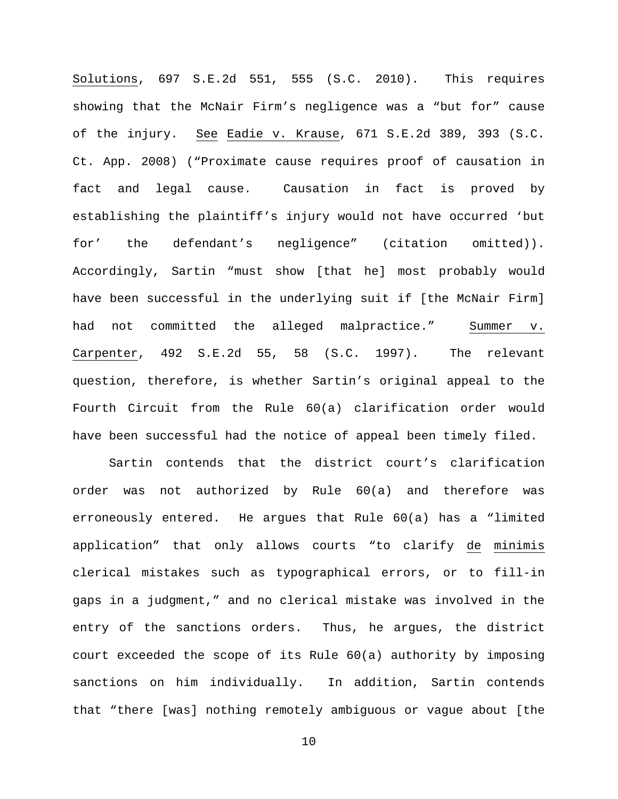Solutions, 697 S.E.2d 551, 555 (S.C. 2010). This requires showing that the McNair Firm's negligence was a "but for" cause of the injury. See Eadie v. Krause, 671 S.E.2d 389, 393 (S.C. Ct. App. 2008) ("Proximate cause requires proof of causation in fact and legal cause. Causation in fact is proved by establishing the plaintiff's injury would not have occurred 'but for' the defendant's negligence" (citation omitted)). Accordingly, Sartin "must show [that he] most probably would have been successful in the underlying suit if [the McNair Firm] had not committed the alleged malpractice." Summer v. Carpenter, 492 S.E.2d 55, 58 (S.C. 1997). The relevant question, therefore, is whether Sartin's original appeal to the Fourth Circuit from the Rule 60(a) clarification order would have been successful had the notice of appeal been timely filed.

Sartin contends that the district court's clarification order was not authorized by Rule 60(a) and therefore was erroneously entered. He argues that Rule 60(a) has a "limited application" that only allows courts "to clarify de minimis clerical mistakes such as typographical errors, or to fill-in gaps in a judgment," and no clerical mistake was involved in the entry of the sanctions orders. Thus, he argues, the district court exceeded the scope of its Rule 60(a) authority by imposing sanctions on him individually. In addition, Sartin contends that "there [was] nothing remotely ambiguous or vague about [the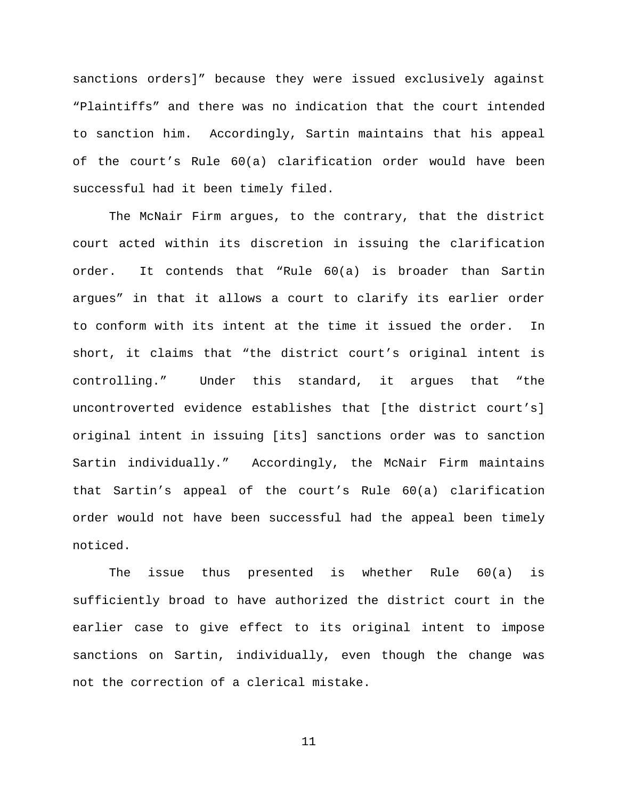sanctions orders]" because they were issued exclusively against "Plaintiffs" and there was no indication that the court intended to sanction him. Accordingly, Sartin maintains that his appeal of the court's Rule 60(a) clarification order would have been successful had it been timely filed.

The McNair Firm argues, to the contrary, that the district court acted within its discretion in issuing the clarification order. It contends that "Rule 60(a) is broader than Sartin argues" in that it allows a court to clarify its earlier order to conform with its intent at the time it issued the order. In short, it claims that "the district court's original intent is controlling." Under this standard, it argues that "the uncontroverted evidence establishes that [the district court's] original intent in issuing [its] sanctions order was to sanction Sartin individually." Accordingly, the McNair Firm maintains that Sartin's appeal of the court's Rule 60(a) clarification order would not have been successful had the appeal been timely noticed.

The issue thus presented is whether Rule 60(a) is sufficiently broad to have authorized the district court in the earlier case to give effect to its original intent to impose sanctions on Sartin, individually, even though the change was not the correction of a clerical mistake.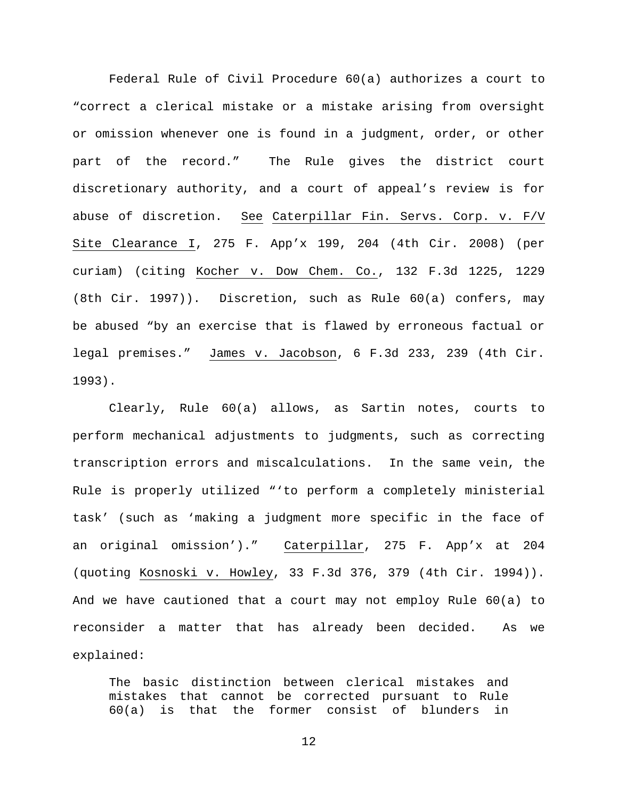Federal Rule of Civil Procedure 60(a) authorizes a court to "correct a clerical mistake or a mistake arising from oversight or omission whenever one is found in a judgment, order, or other part of the record." The Rule gives the district court discretionary authority, and a court of appeal's review is for abuse of discretion. See Caterpillar Fin. Servs. Corp. v. F/V Site Clearance I, 275 F. App'x 199, 204 (4th Cir. 2008) (per curiam) (citing Kocher v. Dow Chem. Co., 132 F.3d 1225, 1229 (8th Cir. 1997)). Discretion, such as Rule 60(a) confers, may be abused "by an exercise that is flawed by erroneous factual or legal premises." James v. Jacobson, 6 F.3d 233, 239 (4th Cir. 1993).

Clearly, Rule 60(a) allows, as Sartin notes, courts to perform mechanical adjustments to judgments, such as correcting transcription errors and miscalculations. In the same vein, the Rule is properly utilized "'to perform a completely ministerial task' (such as 'making a judgment more specific in the face of an original omission')." Caterpillar, 275 F. App'x at 204 (quoting Kosnoski v. Howley, 33 F.3d 376, 379 (4th Cir. 1994)). And we have cautioned that a court may not employ Rule 60(a) to reconsider a matter that has already been decided. As we explained:

The basic distinction between clerical mistakes and mistakes that cannot be corrected pursuant to Rule 60(a) is that the former consist of blunders in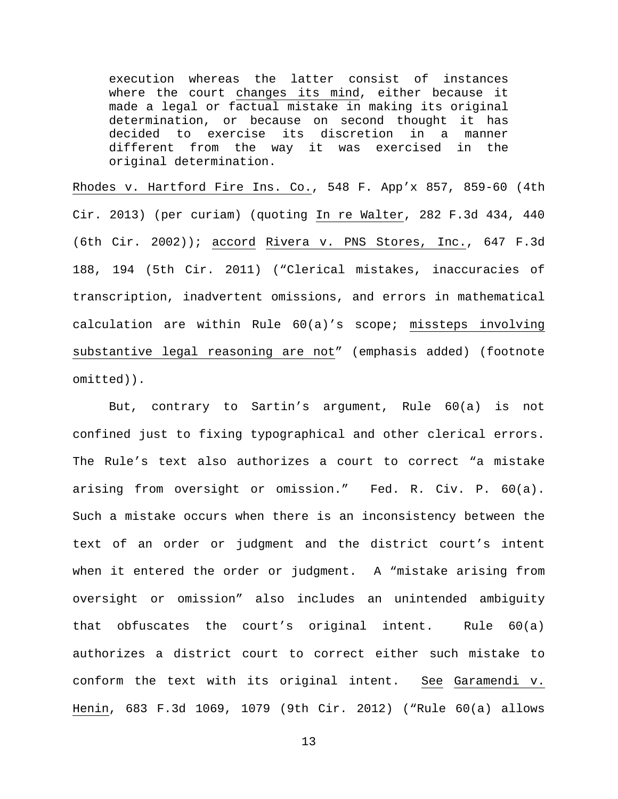execution whereas the latter consist of instances where the court changes its mind, either because it made a legal or factual mistake in making its original determination, or because on second thought it has decided to exercise its discretion in a manner different from the way it was exercised in the original determination.

Rhodes v. Hartford Fire Ins. Co., 548 F. App'x 857, 859-60 (4th Cir. 2013) (per curiam) (quoting In re Walter, 282 F.3d 434, 440 (6th Cir. 2002)); accord Rivera v. PNS Stores, Inc., 647 F.3d 188, 194 (5th Cir. 2011) ("Clerical mistakes, inaccuracies of transcription, inadvertent omissions, and errors in mathematical calculation are within Rule 60(a)'s scope; missteps involving substantive legal reasoning are not" (emphasis added) (footnote omitted)).

But, contrary to Sartin's argument, Rule 60(a) is not confined just to fixing typographical and other clerical errors. The Rule's text also authorizes a court to correct "a mistake arising from oversight or omission." Fed. R. Civ. P. 60(a). Such a mistake occurs when there is an inconsistency between the text of an order or judgment and the district court's intent when it entered the order or judgment. A "mistake arising from oversight or omission" also includes an unintended ambiguity that obfuscates the court's original intent. Rule 60(a) authorizes a district court to correct either such mistake to conform the text with its original intent. See Garamendi v. Henin, 683 F.3d 1069, 1079 (9th Cir. 2012) ("Rule 60(a) allows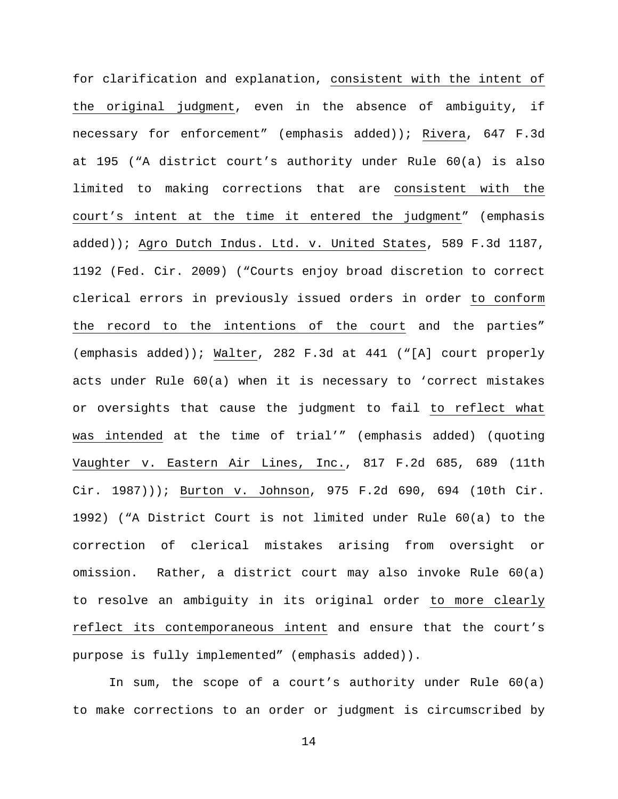for clarification and explanation, consistent with the intent of the original judgment, even in the absence of ambiguity, if necessary for enforcement" (emphasis added)); Rivera, 647 F.3d at 195 ("A district court's authority under Rule 60(a) is also limited to making corrections that are consistent with the court's intent at the time it entered the judgment" (emphasis added)); Agro Dutch Indus. Ltd. v. United States, 589 F.3d 1187, 1192 (Fed. Cir. 2009) ("Courts enjoy broad discretion to correct clerical errors in previously issued orders in order to conform the record to the intentions of the court and the parties" (emphasis added)); Walter, 282 F.3d at 441 ("[A] court properly acts under Rule 60(a) when it is necessary to 'correct mistakes or oversights that cause the judgment to fail to reflect what was intended at the time of trial'" (emphasis added) (quoting Vaughter v. Eastern Air Lines, Inc., 817 F.2d 685, 689 (11th Cir. 1987))); Burton v. Johnson, 975 F.2d 690, 694 (10th Cir. 1992) ("A District Court is not limited under Rule 60(a) to the correction of clerical mistakes arising from oversight or omission. Rather, a district court may also invoke Rule 60(a) to resolve an ambiguity in its original order to more clearly reflect its contemporaneous intent and ensure that the court's purpose is fully implemented" (emphasis added)).

In sum, the scope of a court's authority under Rule 60(a) to make corrections to an order or judgment is circumscribed by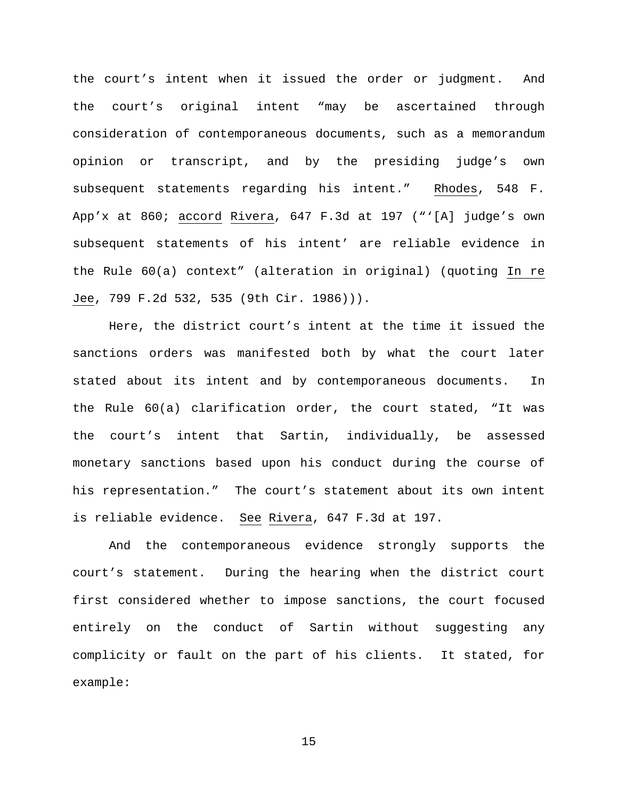the court's intent when it issued the order or judgment. And the court's original intent "may be ascertained through consideration of contemporaneous documents, such as a memorandum opinion or transcript, and by the presiding judge's own subsequent statements regarding his intent." Rhodes, 548 F. App'x at 860; accord Rivera, 647 F.3d at 197 ("'[A] judge's own subsequent statements of his intent' are reliable evidence in the Rule 60(a) context" (alteration in original) (quoting In re Jee, 799 F.2d 532, 535 (9th Cir. 1986))).

Here, the district court's intent at the time it issued the sanctions orders was manifested both by what the court later stated about its intent and by contemporaneous documents. In the Rule 60(a) clarification order, the court stated, "It was the court's intent that Sartin, individually, be assessed monetary sanctions based upon his conduct during the course of his representation." The court's statement about its own intent is reliable evidence. See Rivera, 647 F.3d at 197.

And the contemporaneous evidence strongly supports the court's statement. During the hearing when the district court first considered whether to impose sanctions, the court focused entirely on the conduct of Sartin without suggesting any complicity or fault on the part of his clients. It stated, for example: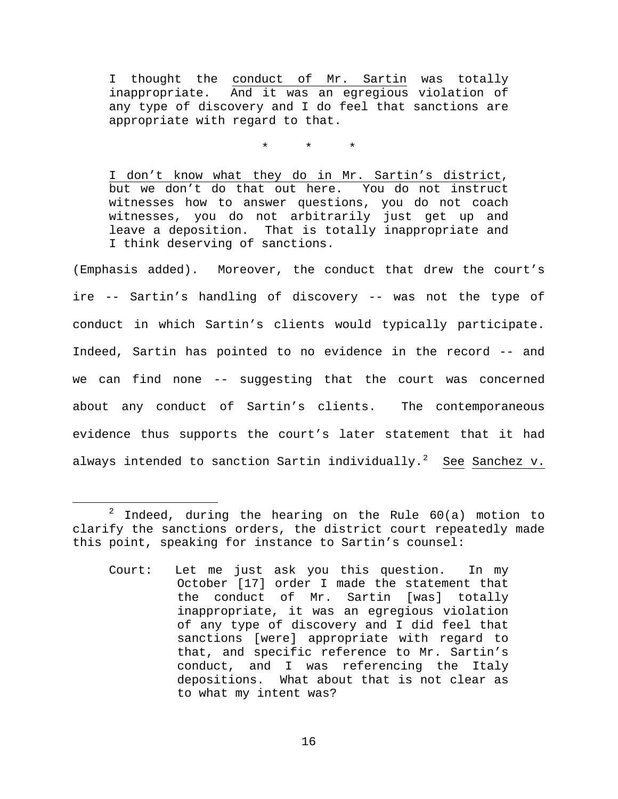I thought the conduct of Mr. Sartin was totally inappropriate. And it was an egregious violation of any type of discovery and I do feel that sanctions are appropriate with regard to that.

\* \* \*

I don't know what they do in Mr. Sartin's district, but we don't do that out here. You do not instruct witnesses how to answer questions, you do not coach witnesses, you do not arbitrarily just get up and leave a deposition. That is totally inappropriate and I think deserving of sanctions.

(Emphasis added). Moreover, the conduct that drew the court's ire -- Sartin's handling of discovery -- was not the type of conduct in which Sartin's clients would typically participate. Indeed, Sartin has pointed to no evidence in the record -- and we can find none -- suggesting that the court was concerned about any conduct of Sartin's clients. The contemporaneous evidence thus supports the court's later statement that it had always intended to sanction Sartin individually.<sup>[2](#page-15-0)</sup> See Sanchez v.

<span id="page-15-0"></span> $2$  Indeed, during the hearing on the Rule  $60(a)$  motion to clarify the sanctions orders, the district court repeatedly made this point, speaking for instance to Sartin's counsel:

Court: Let me just ask you this question. In my October [17] order I made the statement that the conduct of Mr. Sartin [was] totally inappropriate, it was an egregious violation of any type of discovery and I did feel that sanctions [were] appropriate with regard to that, and specific reference to Mr. Sartin's conduct, and I was referencing the Italy depositions. What about that is not clear as to what my intent was?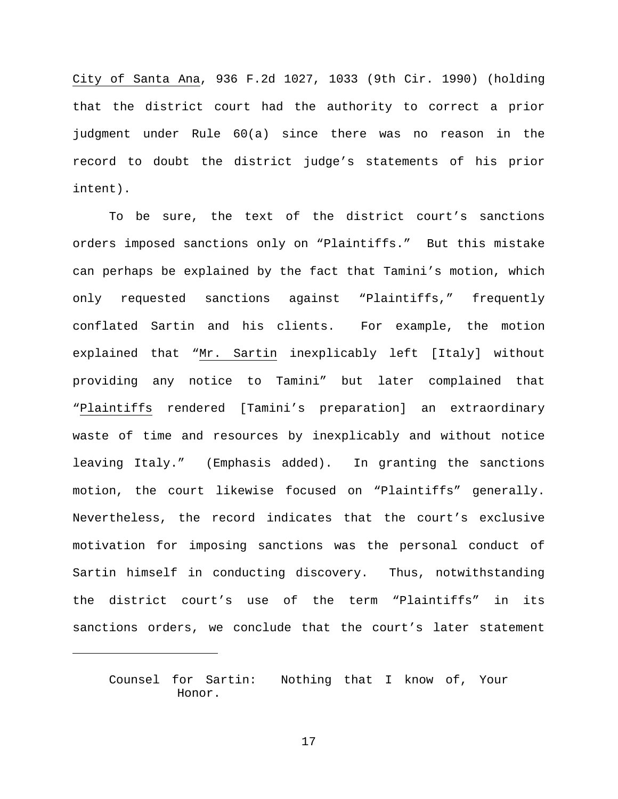City of Santa Ana, 936 F.2d 1027, 1033 (9th Cir. 1990) (holding that the district court had the authority to correct a prior judgment under Rule 60(a) since there was no reason in the record to doubt the district judge's statements of his prior intent).

To be sure, the text of the district court's sanctions orders imposed sanctions only on "Plaintiffs." But this mistake can perhaps be explained by the fact that Tamini's motion, which only requested sanctions against "Plaintiffs," frequently conflated Sartin and his clients. For example, the motion explained that "Mr. Sartin inexplicably left [Italy] without providing any notice to Tamini" but later complained that "Plaintiffs rendered [Tamini's preparation] an extraordinary waste of time and resources by inexplicably and without notice leaving Italy." (Emphasis added). In granting the sanctions motion, the court likewise focused on "Plaintiffs" generally. Nevertheless, the record indicates that the court's exclusive motivation for imposing sanctions was the personal conduct of Sartin himself in conducting discovery. Thus, notwithstanding the district court's use of the term "Plaintiffs" in its sanctions orders, we conclude that the court's later statement

ī

Counsel for Sartin: Nothing that I know of, Your Honor.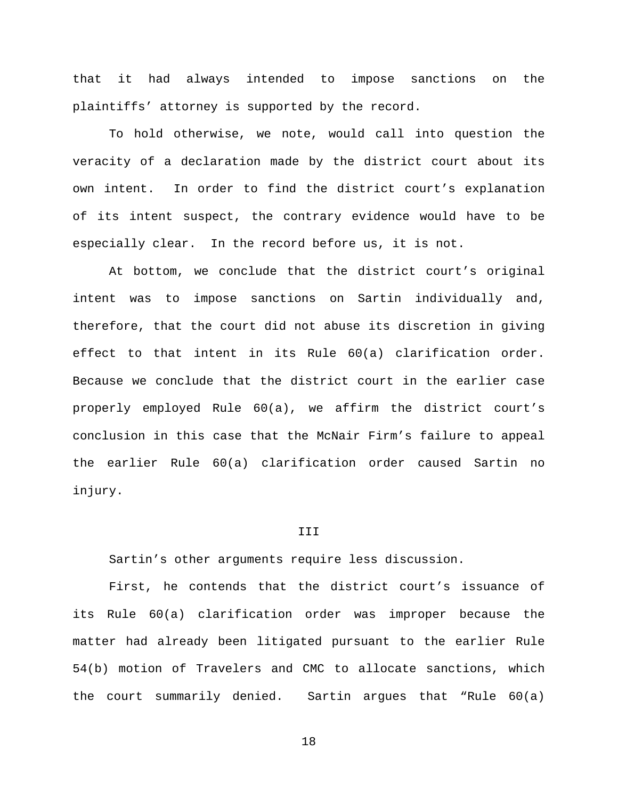that it had always intended to impose sanctions on the plaintiffs' attorney is supported by the record.

To hold otherwise, we note, would call into question the veracity of a declaration made by the district court about its own intent. In order to find the district court's explanation of its intent suspect, the contrary evidence would have to be especially clear. In the record before us, it is not.

At bottom, we conclude that the district court's original intent was to impose sanctions on Sartin individually and, therefore, that the court did not abuse its discretion in giving effect to that intent in its Rule 60(a) clarification order. Because we conclude that the district court in the earlier case properly employed Rule 60(a), we affirm the district court's conclusion in this case that the McNair Firm's failure to appeal the earlier Rule 60(a) clarification order caused Sartin no injury.

# III

Sartin's other arguments require less discussion.

First, he contends that the district court's issuance of its Rule 60(a) clarification order was improper because the matter had already been litigated pursuant to the earlier Rule 54(b) motion of Travelers and CMC to allocate sanctions, which the court summarily denied. Sartin argues that "Rule 60(a)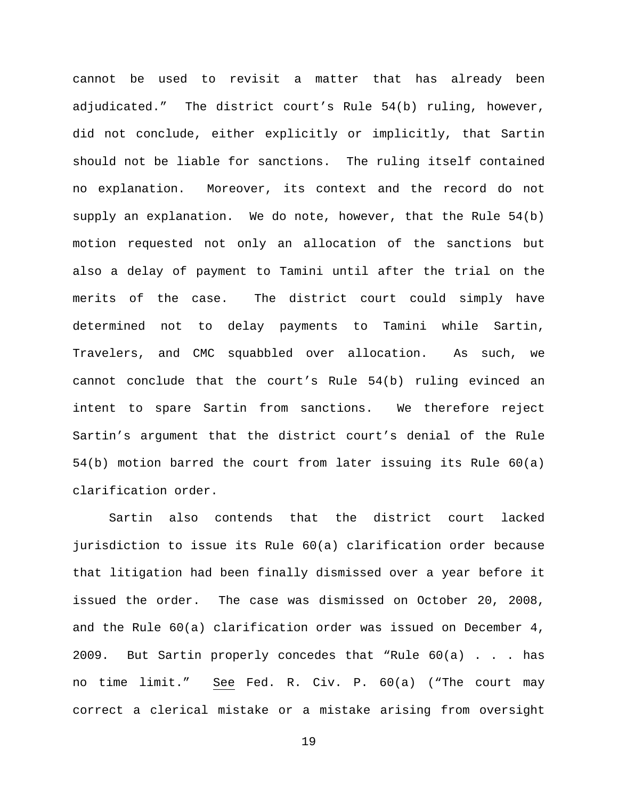cannot be used to revisit a matter that has already been adjudicated." The district court's Rule 54(b) ruling, however, did not conclude, either explicitly or implicitly, that Sartin should not be liable for sanctions. The ruling itself contained no explanation. Moreover, its context and the record do not supply an explanation. We do note, however, that the Rule 54(b) motion requested not only an allocation of the sanctions but also a delay of payment to Tamini until after the trial on the merits of the case. The district court could simply have determined not to delay payments to Tamini while Sartin, Travelers, and CMC squabbled over allocation. As such, we cannot conclude that the court's Rule 54(b) ruling evinced an intent to spare Sartin from sanctions. We therefore reject Sartin's argument that the district court's denial of the Rule 54(b) motion barred the court from later issuing its Rule 60(a) clarification order.

Sartin also contends that the district court lacked jurisdiction to issue its Rule 60(a) clarification order because that litigation had been finally dismissed over a year before it issued the order. The case was dismissed on October 20, 2008, and the Rule 60(a) clarification order was issued on December 4, 2009. But Sartin properly concedes that "Rule 60(a) . . . has no time limit." See Fed. R. Civ. P. 60(a) ("The court may correct a clerical mistake or a mistake arising from oversight